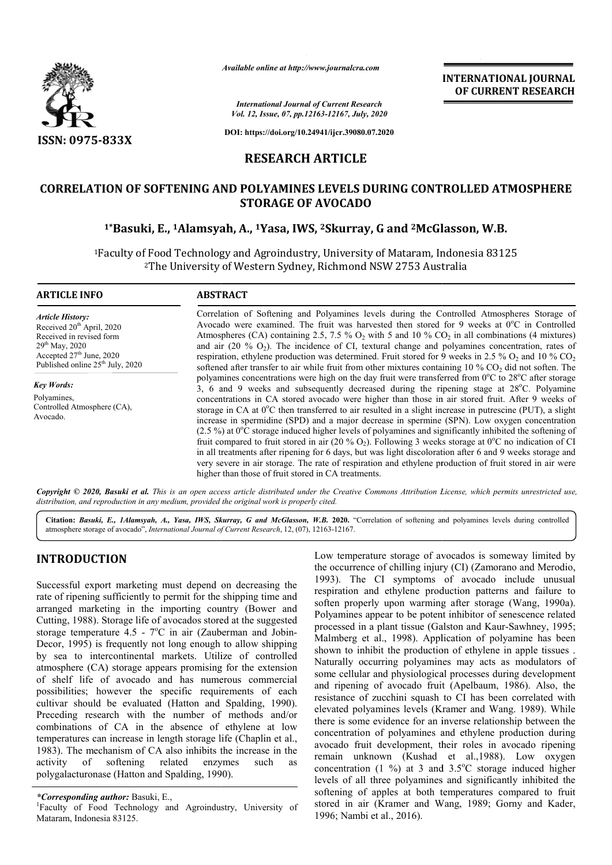

*Available online at http://www.journalcra.com*

*International Journal of Current Research Vol. 12, Issue, 07, pp.12163-12167, July, 2020*

**DOI: https://doi.org/10.24941/ijcr.39080.07.2020**

**INTERNATIONAL JOURNAL OF CURRENT RESEARCH**

**RESEARCH ARTICLE**

# **CORRELATION OF SOFTENING AND POLYAMINES LEVELS DURING CONTROLLED ATMOSPHERE STORAGE OF AVOCADO**

# **1\*Basuki, E., 1Alamsyah, A., Alamsyah, 1Yasa, IWS, 2Skurray, G and 2McGlasson, W.B. McGlasson,**

<sup>1</sup>Faculty of Food Technology and Agroindustry, University of Mataram, Indonesia 83125<br><sup>2</sup>The University of Western Sydney, Richmond NSW 2753 Australia 2The University of Western Sydney, Richmond NSW 2753 Australia

#### **ARTICLE INFO ABSTRACT**

*Article History:* Received 20<sup>th</sup> April, 2020 Received in revised form  $29^{th}$  May,  $2020$  $\frac{25}{27}$  June, 2020 Published online  $25<sup>th</sup>$  July, 2020

*Key Words:* Polyamines, Controlled Atmosphere (CA), Avocado.

Correlation of Softening and Polyamines levels during the Controlled Atmospheres Storage of Correlation of Softening and Polyamines levels during the Controlled Atmospheres Storage of Avocado were examined. The fruit was harvested then stored for 9 weeks at  $0^{\circ}$ C in Controlled Atmospheres (CA) containing 2.5, 7.5 %  $O_2$  with 5 and 10 %  $CO_2$  in all combinations (4 mixtures) and air (20 %  $O_2$ ). The incidence of CI, textural change and polyamines concentration, rates of and air (20 %  $O_2$ ). The incidence of CI, textural change and polyamines concentration, rates of respiration, ethylene production was determined. Fruit stored for 9 weeks in 2.5 %  $O_2$  and 10 %  $CO_2$ softened after transfer to air while fruit from other mixtures containing  $10\%$  CO<sub>2</sub> did not soften. The polyamines concentrations were high on the day fruit were transferred from 0°C to 28°C after storage 3, 6 and 9 weeks and subsequently decreased during the ripening stage at 28°C. Polyamine concentrations in CA stored avocado were higher than those i in air stored fruit. After 9 weeks of storage in CA at 0°C then transferred to air resulted in a slight increase in putrescine (PUT), a slight increase in spermidine (SPD) and a major decrease in spermine (SPN). Low oxygen concentration (2.5 %) at  $0^{\circ}$ C storage induced higher levels of polyamines and significantly inhibited the softening of fruit compared to fruit stored in air (20 % O<sub>2</sub>). Following 3 weeks storage at 0<sup>o</sup>C no indication of CI in all treatments after ripening for 6 days, but was light discoloration after 6 and 9 weeks storage and very severe in air storage. The rate of respiration and ethylene production of fruit stored in air were higher than those of fruit stored in CA treatments. concentrations in CA stored avocado were higher than those in air stored fruit. After 9 weeks of storage in CA at 0°C then transferred to air resulted in a slight increase in putrescine (PUT), a slight increase in spermid

Copyright © 2020, Basuki et al. This is an open access article distributed under the Creative Commons Attribution License, which permits unrestricted use, *distribution, and reproduction in any medium, provided the original work is properly cited.*

Citation: Basuki, E., 1Alamsyah, A., Yasa, IWS, Skurray, G and McGlasson, W.B. 2020. "Correlation of softening and polyamines levels during controlled atmosphere storage of avocado", *International Journal of Current Research* , 12, (07), 12163-12167.

# **INTRODUCTION**

Successful export marketing must depend on decreasing the rate of ripening sufficiently to permit for the shipping time and arranged marketing in the importing country (Bower and Cutting, 1988). Storage life of avocados stored at the suggested storage temperature 4.5 - 7°C in air (Zauberman and Jobin-Decor, 1995) is frequently not long enough to allow shipping by sea to intercontinental markets. Utilize of controlled atmosphere (CA) storage appears promising for the extension of shelf life of avocado and has numerous commercial possibilities; however the specific requirements of each cultivar should be evaluated (Hatton and Spalding, 1990). Preceding research with the number of methods and/or combinations of CA in the absence of ethylene at low temperatures can increase in length storage life (Chaplin et al., 1983). The mechanism of CA also inhibits the increase in the activity of softening related enzymes such as activity of softening related enzymes such as polygalacturonase (Hatton and Spalding, 199 sing fc<br>umero<br>equiren<br>and S<sub>J</sub><br>of n<br>of et<br>ge life<br>its the<br>nzyme<br>1990).

Low temperature storage of avocados is someway limited by the occurrence of chilling injury (CI) (Zamorano and Merodio, 1993). The CI symptoms of avocado include unusual respiration and ethylene production patterns and failure to soften properly upon warming after storage (Wang, 1990a). Polyamines appear to be potent inhibitor of senescence related the occurrence of chilling injury (CI) (Zamorano and Merodio, 1993). The CI symptoms of avocado include unusual respiration and ethylene production patterns and failure to soften properly upon warming after storage (Wang, Malmberg et al., 1998). Application of polyamine has been shown to inhibit the production of ethylene in apple tissues . Naturally occurring polyamines may acts as modulators of some cellular and physiological processes during and ripening of avocado fruit (Apelbaum, 1986). Also, the resistance of zucchini squash to CI has been correlated with elevated polyamines levels (Kramer and Wang. 1989). While there is some evidence for an inverse relationship between the concentration of polyamines and ethylene production during avocado fruit development, their roles in avocado ripening remain unknown (Kushad et al.,1988). Low oxygen and ripening of avocado fruit (Apelbaum, 1986). Also, the resistance of zucchini squash to CI has been correlated with elevated polyamines levels (Kramer and Wang. 1989). While there is some evidence for an inverse relatio levels of all three polyamines and significantly inhibited the softening of apples at both temperatures compared to fruit stored in air (Kramer and Wang, 1989; Gorny and Kader, 1996; Nambi et al., 2016). Malmberg et al., 1998). Application of polyamine has been shown to inhibit the production of ethylene in apple tissues. Naturally occurring polyamines may acts as modulators of some cellular and physiological processes dur **INTERNATIONAL JOURNAL**<br> **INTERNATIONAL JOURNAL**<br> **INTERNATIONAL JOURNAL<br>
<b>ISSUE AIR 2018**<br> **ISSUE AIR 2019**<br> **ISSUE CONTROLLED ATMOSPHERE**<br> **EDURING CONTROLLED ATMOSPHERE**<br> **DO**<br> **AIF,**  $\vec{B}$  and  $\vec{C}$  McGlasson, W.B.

*<sup>\*</sup>Corresponding author:* Basuki, E., 1

Faculty of Food Technology and Agroindustry, University of Mataram, Indonesia 83125.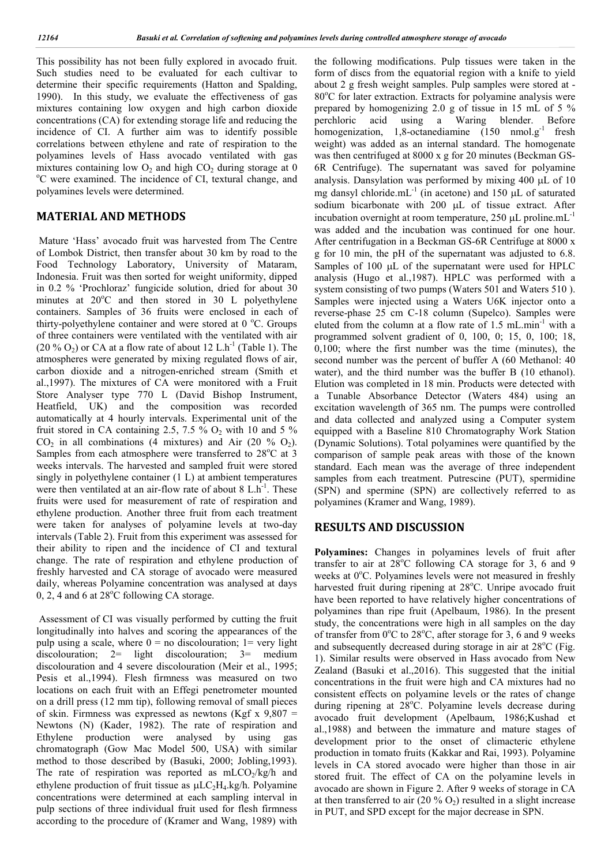This possibility has not been fully explored in avocado fruit. Such studies need to be evaluated for each cultivar to determine their specific requirements (Hatton and Spalding, 1990). In this study, we evaluate the effectiveness of gas mixtures containing low oxygen and high carbon dioxide concentrations (CA) for extending storage life and reducing the incidence of CI. A further aim was to identify possible correlations between ethylene and rate of respiration to the polyamines levels of Hass avocado ventilated with gas mixtures containing low  $O_2$  and high  $CO_2$  during storage at 0 C were examined. The incidence of CI, textural change, and polyamines levels were determined.

## **MATERIAL AND METHODS**

Mature 'Hass' avocado fruit was harvested from The Centre of Lombok District, then transfer about 30 km by road to the Food Technology Laboratory, University of Mataram, Indonesia. Fruit was then sorted for weight uniformity, dipped in 0.2 % 'Prochloraz' fungicide solution, dried for about 30 minutes at  $20^{\circ}$ C and then stored in 30 L polyethylene containers. Samples of 36 fruits were enclosed in each of thirty-polyethylene container and were stored at  $0^{\circ}$ C. Groups of three containers were ventilated with the ventilated with air  $(20\% O_2)$  or CA at a flow rate of about 12 L.h<sup>-1</sup> (Table 1). The atmospheres were generated by mixing regulated flows of air, carbon dioxide and a nitrogen-enriched stream (Smith et al.,1997). The mixtures of CA were monitored with a Fruit Store Analyser type 770 L (David Bishop Instrument, Heatfield, UK) and the composition was recorded automatically at 4 hourly intervals. Experimental unit of the fruit stored in CA containing 2.5, 7.5 %  $O_2$  with 10 and 5 %  $CO<sub>2</sub>$  in all combinations (4 mixtures) and Air (20 %  $O<sub>2</sub>$ ). Samples from each atmosphere were transferred to 28°C at 3 weeks intervals. The harvested and sampled fruit were stored singly in polyethylene container (1 L) at ambient temperatures were then ventilated at an air-flow rate of about  $8$  L.h<sup>-1</sup>. These fruits were used for measurement of rate of respiration and ethylene production. Another three fruit from each treatment were taken for analyses of polyamine levels at two-day intervals (Table 2). Fruit from this experiment was assessed for their ability to ripen and the incidence of CI and textural change. The rate of respiration and ethylene production of freshly harvested and CA storage of avocado were measured daily, whereas Polyamine concentration was analysed at days  $0, 2, 4$  and 6 at 28 $\mathrm{^{\circ}C}$  following CA storage.

Assessment of CI was visually performed by cutting the fruit longitudinally into halves and scoring the appearances of the pulp using a scale, where  $0 =$  no discolouration;  $1 =$  very light discolouration;  $2=$  light discolouration;  $3=$  medium discolouration and 4 severe discolouration (Meir et al., 1995; Pesis et al.,1994). Flesh firmness was measured on two locations on each fruit with an Effegi penetrometer mounted on a drill press (12 mm tip), following removal of small pieces of skin. Firmness was expressed as newtons (Kgf x  $9,807 =$ Newtons (N) (Kader, 1982). The rate of respiration and Ethylene production were analysed by using gas chromatograph (Gow Mac Model 500, USA) with similar method to those described by (Basuki, 2000; Jobling,1993). The rate of respiration was reported as  $mLCO<sub>2</sub>/kg/h$  and ethylene production of fruit tissue as  $\mu LC_2H_4.kg/h$ . Polyamine concentrations were determined at each sampling interval in pulp sections of three individual fruit used for flesh firmness according to the procedure of (Kramer and Wang, 1989) with

the following modifications. Pulp tissues were taken in the form of discs from the equatorial region with a knife to yield about 2 g fresh weight samples. Pulp samples were stored at - 80°C for later extraction. Extracts for polyamine analysis were prepared by homogenizing 2.0 g of tissue in 15 mL of 5 % perchloric acid using a Waring blender. Before homogenization,  $1,8$ -octanediamine  $(150 \text{ nmol} \text{g}^{-1})$  fresh weight) was added as an internal standard. The homogenate was then centrifuged at 8000 x g for 20 minutes (Beckman GS-6R Centrifuge). The supernatant was saved for polyamine analysis. Dansylation was performed by mixing  $400 \mu L$  of  $10$ mg dansyl chloride.mL $^{-1}$  (in acetone) and 150  $\mu$ L of saturated sodium bicarbonate with  $200$   $\mu$ L of tissue extract. After incubation overnight at room temperature,  $250 \mu L$  proline.mL<sup>-1</sup> was added and the incubation was continued for one hour. After centrifugation in a Beckman GS-6R Centrifuge at 8000 x g for 10 min, the pH of the supernatant was adjusted to 6.8. Samples of  $100 \mu L$  of the supernatant were used for HPLC analysis (Hugo et al.,1987). HPLC was performed with a system consisting of two pumps (Waters 501 and Waters 510 ). Samples were injected using a Waters U6K injector onto a reverse-phase 25 cm C-18 column (Supelco). Samples were eluted from the column at a flow rate of  $1.5 \text{ mL.min}^{-1}$  with a programmed solvent gradient of 0, 100, 0; 15, 0, 100; 18, 0,100; where the first number was the time (minutes), the second number was the percent of buffer A (60 Methanol: 40 water), and the third number was the buffer B (10 ethanol). Elution was completed in 18 min. Products were detected with a Tunable Absorbance Detector (Waters 484) using an excitation wavelength of 365 nm. The pumps were controlled and data collected and analyzed using a Computer system equipped with a Baseline 810 Chromatography Work Station (Dynamic Solutions). Total polyamines were quantified by the comparison of sample peak areas with those of the known standard. Each mean was the average of three independent samples from each treatment. Putrescine (PUT), spermidine (SPN) and spermine (SPN) are collectively referred to as polyamines (Kramer and Wang, 1989).

### **RESULTS AND DISCUSSION**

**Polyamines:** Changes in polyamines levels of fruit after transfer to air at  $28^{\circ}$ C following CA storage for 3, 6 and 9 weeks at 0°C. Polyamines levels were not measured in freshly harvested fruit during ripening at 28°C. Unripe avocado fruit have been reported to have relatively higher concentrations of polyamines than ripe fruit (Apelbaum, 1986). In the present study, the concentrations were high in all samples on the day of transfer from 0°C to 28°C, after storage for 3, 6 and 9 weeks and subsequently decreased during storage in air at 28°C (Fig. 1). Similar results were observed in Hass avocado from New Zealand (Basuki et al.,2016). This suggested that the initial concentrations in the fruit were high and CA mixtures had no consistent effects on polyamine levels or the rates of change during ripening at 28°C. Polyamine levels decrease during avocado fruit development (Apelbaum, 1986;Kushad et al.,1988) and between the immature and mature stages of development prior to the onset of climacteric ethylene production in tomato fruits (Kakkar and Rai, 1993). Polyamine levels in CA stored avocado were higher than those in air stored fruit. The effect of CA on the polyamine levels in avocado are shown in Figure 2. After 9 weeks of storage in CA at then transferred to air  $(20\% O_2)$  resulted in a slight increase in PUT, and SPD except for the major decrease in SPN.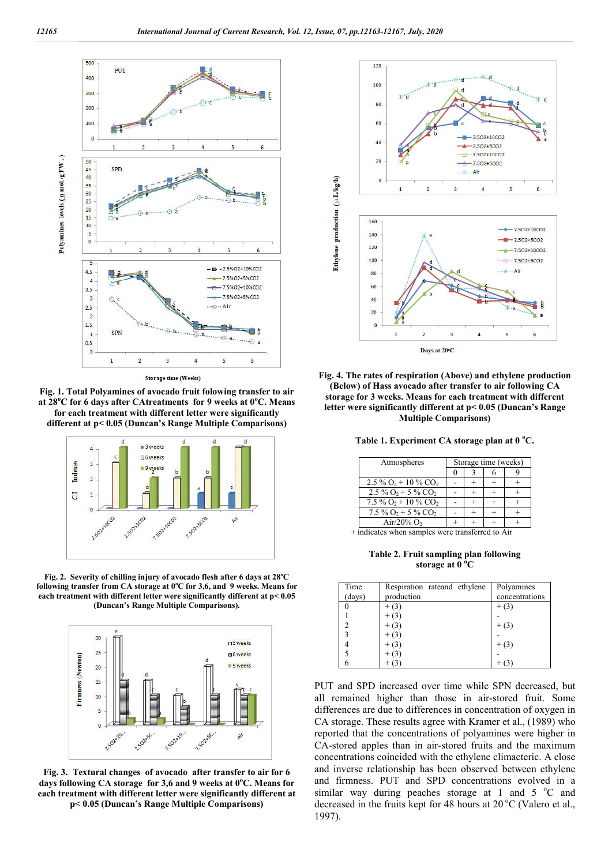

Storage time (Weeks)

**Fig. 1. Total Polyamines of avocado fruit folowing transfer to air at 28<sup>o</sup> C for 6 days after CAtreatments for 9 weeks at 0<sup>o</sup> C. Means for each treatment with different letter were significantly different at p< 0.05 (Duncan's Range Multiple Comparisons)**



**Fig. 2. Severity of chilling injury of avocado flesh after 6 days at 28<sup>o</sup> C following transfer from CA storage at 0<sup>o</sup> C for 3,6, and 9 weeks. Means for each treatment with different letter were significantly different at p< 0.05 (Duncan's Range Multiple Comparisons).**



**Fig. 3. Textural changes of avocado after transfer to air for 6 days following CA storage for 3,6 and 9 weeks at 0<sup>o</sup> C. Means for each treatment with different letter were significantly different at p< 0.05 (Duncan's Range Multiple Comparisons)**



**Fig. 4. The rates of respiration (Above) and ethylene production (Below) of Hass avocado after transfer to air following CA storage for 3 weeks. Means for each treatment with different letter were significantly different at p< 0.05 (Duncan's Range Multiple Comparisons)**

**Table 1. Experiment CA storage plan at 0 <sup>o</sup> C.**

| Atmospheres                                   | Storage time (weeks) |  |  |  |
|-----------------------------------------------|----------------------|--|--|--|
|                                               |                      |  |  |  |
| $2.5\%$ O <sub>2</sub> + 10 % CO <sub>2</sub> |                      |  |  |  |
| $2.5\%$ O <sub>2</sub> + 5 % CO <sub>2</sub>  |                      |  |  |  |
| $7.5\%$ O <sub>2</sub> + 10 % CO <sub>2</sub> |                      |  |  |  |
| $7.5\%$ O <sub>2</sub> + 5 % CO <sub>2</sub>  |                      |  |  |  |
| Air/20% $O2$                                  |                      |  |  |  |

+ indicates when samples were transferred to Air

**Table 2. Fruit sampling plan following storage at 0 <sup>o</sup> C**

| Time<br>(days) | Respiration rateand ethylene<br>production | Polyamines<br>concentrations |
|----------------|--------------------------------------------|------------------------------|
|                |                                            | $+ (3)$                      |
|                |                                            |                              |
| 2              |                                            | $+(3)$                       |
| 3              |                                            |                              |
| 4              |                                            | $+(3)$                       |
|                |                                            |                              |
| 6              |                                            |                              |

PUT and SPD increased over time while SPN decreased, but all remained higher than those in air-stored fruit. Some differences are due to differences in concentration of oxygen in CA storage. These results agree with Kramer et al., (1989) who reported that the concentrations of polyamines were higher in CA-stored apples than in air-stored fruits and the maximum concentrations coincided with the ethylene climacteric. A close and inverse relationship has been observed between ethylene and firmness. PUT and SPD concentrations evolved in a similar way during peaches storage at 1 and  $5^{\circ}$ C and decreased in the fruits kept for 48 hours at 20 °C (Valero et al., 1997).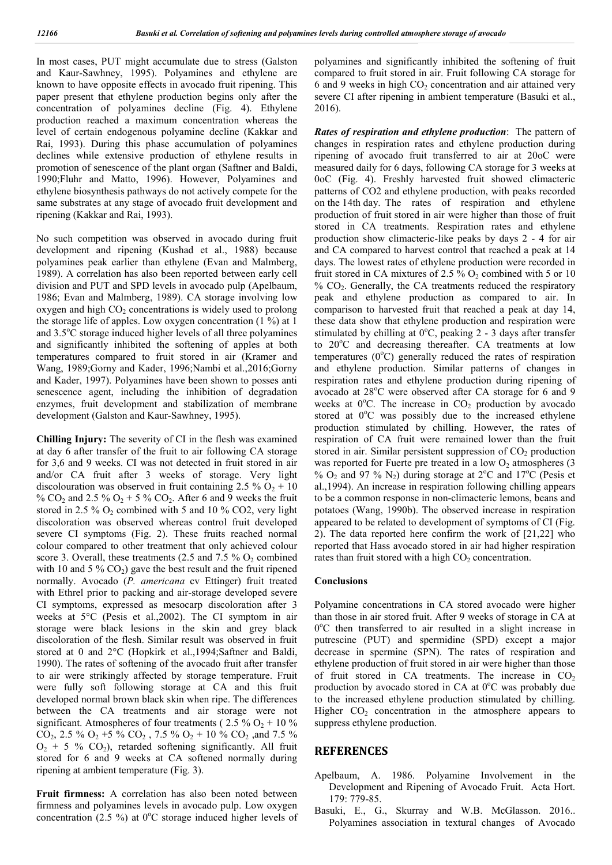In most cases, PUT might accumulate due to stress (Galston and Kaur-Sawhney, 1995). Polyamines and ethylene are known to have opposite effects in avocado fruit ripening. This paper present that ethylene production begins only after the concentration of polyamines decline (Fig. 4). Ethylene production reached a maximum concentration whereas the level of certain endogenous polyamine decline (Kakkar and Rai, 1993). During this phase accumulation of polyamines declines while extensive production of ethylene results in promotion of senescence of the plant organ (Saftner and Baldi, 1990;Fluhr and Matto, 1996). However, Polyamines and ethylene biosynthesis pathways do not actively compete for the same substrates at any stage of avocado fruit development and ripening (Kakkar and Rai, 1993).

No such competition was observed in avocado during fruit development and ripening (Kushad et al., 1988) because polyamines peak earlier than ethylene (Evan and Malmberg, 1989). A correlation has also been reported between early cell division and PUT and SPD levels in avocado pulp (Apelbaum, 1986; Evan and Malmberg, 1989). CA storage involving low oxygen and high  $CO<sub>2</sub>$  concentrations is widely used to prolong the storage life of apples. Low oxygen concentration (1 %) at 1 and 3.5°C storage induced higher levels of all three polyamines and significantly inhibited the softening of apples at both temperatures compared to fruit stored in air (Kramer and Wang, 1989;Gorny and Kader, 1996;Nambi et al.,2016;Gorny and Kader, 1997). Polyamines have been shown to posses anti senescence agent, including the inhibition of degradation enzymes, fruit development and stabilization of membrane development (Galston and Kaur-Sawhney, 1995).

**Chilling Injury:** The severity of CI in the flesh was examined at day 6 after transfer of the fruit to air following CA storage for 3,6 and 9 weeks. CI was not detected in fruit stored in air and/or CA fruit after 3 weeks of storage. Very light discolouration was observed in fruit containing 2.5 %  $O_2$  + 10 % CO<sub>2</sub> and 2.5 % O<sub>2</sub> + 5 % CO<sub>2</sub>. After 6 and 9 weeks the fruit stored in 2.5 %  $O_2$  combined with 5 and 10 % CO2, very light discoloration was observed whereas control fruit developed severe CI symptoms (Fig. 2). These fruits reached normal colour compared to other treatment that only achieved colour score 3. Overall, these treatments (2.5 and 7.5 %  $O_2$  combined with 10 and 5 %  $CO<sub>2</sub>$ ) gave the best result and the fruit ripened normally. Avocado (*P. americana* cv Ettinger) fruit treated with Ethrel prior to packing and air-storage developed severe CI symptoms, expressed as mesocarp discoloration after 3 weeks at 5°C (Pesis et al.,2002). The CI symptom in air storage were black lesions in the skin and grey black discoloration of the flesh. Similar result was observed in fruit stored at 0 and 2°C (Hopkirk et al.,1994;Saftner and Baldi, 1990). The rates of softening of the avocado fruit after transfer to air were strikingly affected by storage temperature. Fruit were fully soft following storage at CA and this fruit developed normal brown black skin when ripe. The differences between the CA treatments and air storage were not significant. Atmospheres of four treatments ( $2.5\%$  O<sub>2</sub> + 10 %)  $CO_2$ , 2.5 %  $O_2$  +5 %  $CO_2$ , 7.5 %  $O_2$  + 10 %  $CO_2$ , and 7.5 %  $O_2$  + 5 %  $CO_2$ ), retarded softening significantly. All fruit stored for 6 and 9 weeks at CA softened normally during ripening at ambient temperature (Fig. 3).

**Fruit firmness:** A correlation has also been noted between firmness and polyamines levels in avocado pulp. Low oxygen concentration (2.5 %) at  $0^{\circ}$ C storage induced higher levels of polyamines and significantly inhibited the softening of fruit compared to fruit stored in air. Fruit following CA storage for  $6$  and  $9$  weeks in high  $CO<sub>2</sub>$  concentration and air attained very severe CI after ripening in ambient temperature (Basuki et al., 2016).

*Rates of respiration and ethylene production*: The pattern of changes in respiration rates and ethylene production during ripening of avocado fruit transferred to air at 20oC were measured daily for 6 days, following CA storage for 3 weeks at 0oC (Fig. 4). Freshly harvested fruit showed climacteric patterns of CO2 and ethylene production, with peaks recorded on the 14th day. The rates of respiration and ethylene production of fruit stored in air were higher than those of fruit stored in CA treatments. Respiration rates and ethylene production show climacteric-like peaks by days 2 - 4 for air and CA compared to harvest control that reached a peak at 14 days. The lowest rates of ethylene production were recorded in fruit stored in CA mixtures of 2.5 %  $O_2$  combined with 5 or 10  $% CO<sub>2</sub>$ . Generally, the CA treatments reduced the respiratory peak and ethylene production as compared to air. In comparison to harvested fruit that reached a peak at day 14, these data show that ethylene production and respiration were stimulated by chilling at  $0^{\circ}$ C, peaking 2 - 3 days after transfer to 20°C and decreasing thereafter. CA treatments at low temperatures (0°C) generally reduced the rates of respiration and ethylene production. Similar patterns of changes in respiration rates and ethylene production during ripening of avocado at 28°C were observed after CA storage for 6 and 9 weeks at  $0^{\circ}$ C. The increase in  $CO<sub>2</sub>$  production by avocado stored at 0°C was possibly due to the increased ethylene production stimulated by chilling. However, the rates of respiration of CA fruit were remained lower than the fruit stored in air. Similar persistent suppression of  $CO<sub>2</sub>$  production was reported for Fuerte pre treated in a low  $O_2$  atmospheres (3) %  $O_2$  and 97 %  $N_2$ ) during storage at 2°C and 17°C (Pesis et al.,1994). An increase in respiration following chilling appears to be a common response in non-climacteric lemons, beans and potatoes (Wang, 1990b). The observed increase in respiration appeared to be related to development of symptoms of CI (Fig. 2). The data reported here confirm the work of [21,22] who reported that Hass avocado stored in air had higher respiration rates than fruit stored with a high  $CO<sub>2</sub>$  concentration.

#### **Conclusions**

Polyamine concentrations in CA stored avocado were higher than those in air stored fruit. After 9 weeks of storage in CA at 0°C then transferred to air resulted in a slight increase in putrescine (PUT) and spermidine (SPD) except a major decrease in spermine (SPN). The rates of respiration and ethylene production of fruit stored in air were higher than those of fruit stored in CA treatments. The increase in  $CO<sub>2</sub>$ production by avocado stored in CA at  $0^{\circ}$ C was probably due to the increased ethylene production stimulated by chilling. Higher  $CO<sub>2</sub>$  concentration in the atmosphere appears to suppress ethylene production.

## **REFERENCES**

- Apelbaum, A. 1986. Polyamine Involvement in the Development and Ripening of Avocado Fruit. Acta Hort. 179: 779-85.
- Basuki, E., G., Skurray and W.B. McGlasson. 2016.. Polyamines association in textural changes of Avocado